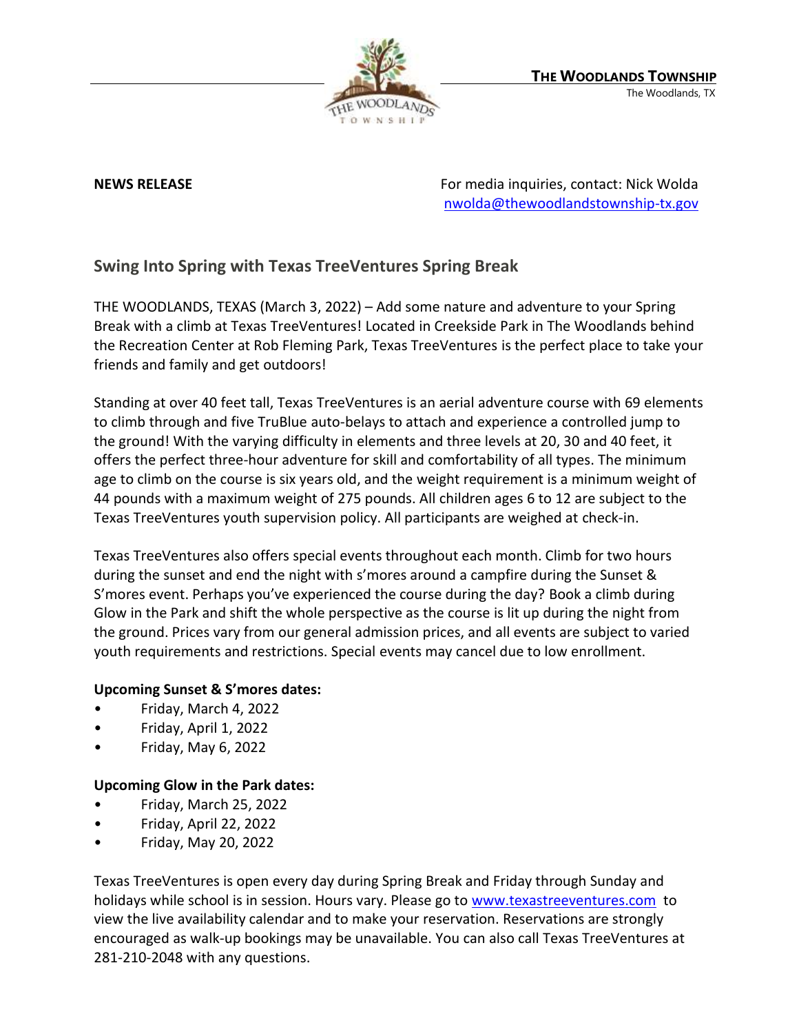

**NEWS RELEASE** For media inquiries, contact: Nick Wolda **NEWS** RELEASE [nwolda@thewoodlandstownship-tx.gov](mailto:nwolda@thewoodlandstownship-tx.gov)

## **Swing Into Spring with Texas TreeVentures Spring Break**

THE WOODLANDS, TEXAS (March 3, 2022) – Add some nature and adventure to your Spring Break with a climb at Texas TreeVentures! Located in Creekside Park in The Woodlands behind the Recreation Center at Rob Fleming Park, Texas TreeVentures is the perfect place to take your friends and family and get outdoors!

Standing at over 40 feet tall, Texas TreeVentures is an aerial adventure course with 69 elements to climb through and five TruBlue auto-belays to attach and experience a controlled jump to the ground! With the varying difficulty in elements and three levels at 20, 30 and 40 feet, it offers the perfect three-hour adventure for skill and comfortability of all types. The minimum age to climb on the course is six years old, and the weight requirement is a minimum weight of 44 pounds with a maximum weight of 275 pounds. All children ages 6 to 12 are subject to the Texas TreeVentures youth supervision policy. All participants are weighed at check-in.

Texas TreeVentures also offers special events throughout each month. Climb for two hours during the sunset and end the night with s'mores around a campfire during the Sunset & S'mores event. Perhaps you've experienced the course during the day? Book a climb during Glow in the Park and shift the whole perspective as the course is lit up during the night from the ground. Prices vary from our general admission prices, and all events are subject to varied youth requirements and restrictions. Special events may cancel due to low enrollment.

## **Upcoming Sunset & S'mores dates:**

- Friday, March 4, 2022
- Friday, April 1, 2022
- Friday, May 6, 2022

## **Upcoming Glow in the Park dates:**

- Friday, March 25, 2022
- Friday, April 22, 2022
- Friday, May 20, 2022

Texas TreeVentures is open every day during Spring Break and Friday through Sunday and holidays while school is in session. Hours vary. Please go to [www.texastreeventures.com](http://www.texastreeventures.com/) to view the live availability calendar and to make your reservation. Reservations are strongly encouraged as walk-up bookings may be unavailable. You can also call Texas TreeVentures at 281-210-2048 with any questions.